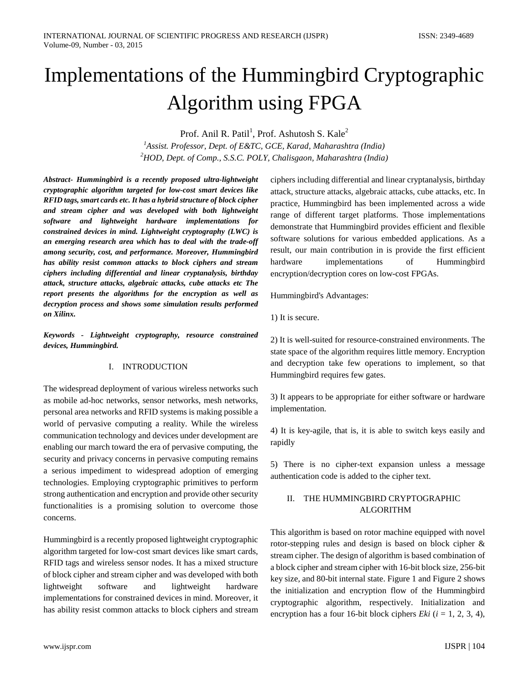# Implementations of the Hummingbird Cryptographic Algorithm using FPGA

Prof. Anil R. Patil<sup>1</sup>, Prof. Ashutosh S. Kale<sup>2</sup>

*1 Assist. Professor, Dept. of E&TC, GCE, Karad, Maharashtra (India) 2 HOD, Dept. of Comp., S.S.C. POLY, Chalisgaon, Maharashtra (India)*

*Abstract***-** *Hummingbird is a recently proposed ultra-lightweight cryptographic algorithm targeted for low-cost smart devices like RFID tags, smart cards etc. It has a hybrid structure of block cipher and stream cipher and was developed with both lightweight software and lightweight hardware implementations for constrained devices in mind. Lightweight cryptography (LWC) is an emerging research area which has to deal with the trade-off among security, cost, and performance. Moreover, Hummingbird has ability resist common attacks to block ciphers and stream ciphers including differential and linear cryptanalysis, birthday attack, structure attacks, algebraic attacks, cube attacks etc The report presents the algorithms for the encryption as well as decryption process and shows some simulation results performed on Xilinx.*

*Keywords - Lightweight cryptography, resource constrained devices, Hummingbird.*

# I. INTRODUCTION

The widespread deployment of various wireless networks such as mobile ad-hoc networks, sensor networks, mesh networks, personal area networks and RFID systems is making possible a world of pervasive computing a reality. While the wireless communication technology and devices under development are enabling our march toward the era of pervasive computing, the security and privacy concerns in pervasive computing remains a serious impediment to widespread adoption of emerging technologies. Employing cryptographic primitives to perform strong authentication and encryption and provide other security functionalities is a promising solution to overcome those concerns.

Hummingbird is a recently proposed lightweight cryptographic algorithm targeted for low-cost smart devices like smart cards, RFID tags and wireless sensor nodes. It has a mixed structure of block cipher and stream cipher and was developed with both lightweight software and lightweight hardware implementations for constrained devices in mind. Moreover, it has ability resist common attacks to block ciphers and stream ciphers including differential and linear cryptanalysis, birthday attack, structure attacks, algebraic attacks, cube attacks, etc. In practice, Hummingbird has been implemented across a wide range of different target platforms. Those implementations demonstrate that Hummingbird provides efficient and flexible software solutions for various embedded applications. As a result, our main contribution in is provide the first efficient hardware implementations of Hummingbird encryption/decryption cores on low-cost FPGAs.

Hummingbird's Advantages:

1) It is secure.

2) It is well-suited for resource-constrained environments. The state space of the algorithm requires little memory. Encryption and decryption take few operations to implement, so that Hummingbird requires few gates.

3) It appears to be appropriate for either software or hardware implementation.

4) It is key-agile, that is, it is able to switch keys easily and rapidly

5) There is no cipher-text expansion unless a message authentication code is added to the cipher text.

# II. THE HUMMINGBIRD CRYPTOGRAPHIC ALGORITHM

This algorithm is based on rotor machine equipped with novel rotor-stepping rules and design is based on block cipher & stream cipher. The design of algorithm is based combination of a block cipher and stream cipher with 16-bit block size, 256-bit key size, and 80-bit internal state. Figure 1 and Figure 2 shows the initialization and encryption flow of the Hummingbird cryptographic algorithm, respectively. Initialization and encryption has a four 16-bit block ciphers *Eki*  $(i = 1, 2, 3, 4)$ ,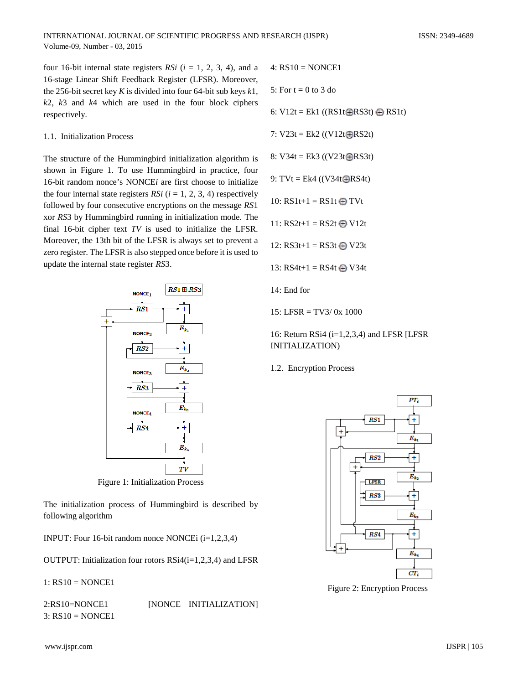four 16-bit internal state registers  $RSi$  ( $i = 1, 2, 3, 4$ ), and a 16-stage Linear Shift Feedback Register (LFSR). Moreover, the 256-bit secret key *K* is divided into four 64-bit sub keys *k*1*, k*2, *k*3 and *k*4 which are used in the four block ciphers respectively.

#### 1.1. Initialization Process

The structure of the Hummingbird initialization algorithm is shown in Figure 1. To use Hummingbird in practice, four 16-bit random nonce's NONCE*i* are first choose to initialize the four internal state registers *RSi*  $(i = 1, 2, 3, 4)$  respectively followed by four consecutive encryptions on the message *RS*1 xor *RS*3 by Hummingbird running in initialization mode. The final 16-bit cipher text *TV* is used to initialize the LFSR. Moreover, the 13th bit of the LFSR is always set to prevent a zero register. The LFSR is also stepped once before it is used to update the internal state register *RS*3.



Figure 1: Initialization Process

The initialization process of Hummingbird is described by following algorithm

INPUT: Four 16-bit random nonce NONCEi (i=1,2,3,4)

OUTPUT: Initialization four rotors RSi4(i=1,2,3,4) and LFSR

1: RS10 = NONCE1

2:RS10=NONCE1 [NONCE INITIALIZATION]  $3:$  RS10 = NONCE1

4: RS10 = NONCE1

5: For  $t = 0$  to 3 do

6:  $V12t = Ek1$  ((RS1t $RSSt$ )  $RSIt$ )

7:  $V23t = Ek2 ((V12t)RS2t)$ 

8:  $V34t = Ek3 ((V23t) **RSS1**)$ 

9:  $TVt = Ek4$  ((V34t $RSS4t$ )

10:  $RS1t+1 = RS1t \oplus TVt$ 

11:  $RS2t+1 = RS2t \oplus V12t$ 

12:  $RS3t+1 = RS3t \oplus V23t$ 

$$
13: RS4t+1 = RS4t \bigoplus V34t
$$

14: End for

15: LFSR = TV3/ 0x 1000

16: Return RSi4  $(i=1,2,3,4)$  and LFSR [LFSR] INITIALIZATION)

1.2. Encryption Process



Figure 2: Encryption Process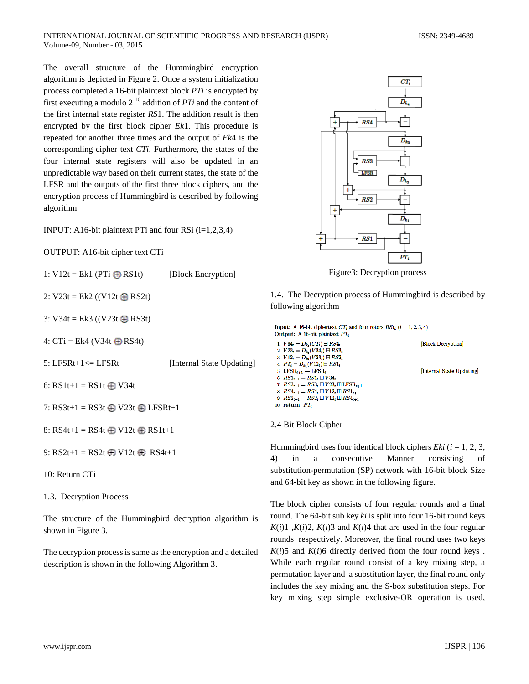The overall structure of the Hummingbird encryption algorithm is depicted in Figure 2. Once a system initialization process completed a 16-bit plaintext block *PTi* is encrypted by first executing a modulo 2 16 addition of *PTi* and the content of the first internal state register *RS*1. The addition result is then encrypted by the first block cipher *Ek*1. This procedure is repeated for another three times and the output of *Ek*4 is the corresponding cipher text *CTi*. Furthermore, the states of the four internal state registers will also be updated in an unpredictable way based on their current states, the state of the LFSR and the outputs of the first three block ciphers, and the encryption process of Hummingbird is described by following algorithm

INPUT: A16-bit plaintext PTi and four RSi  $(i=1,2,3,4)$ 

OUTPUT: A16-bit cipher text CTi

1:  $V12t = Ek1$  (PTi  $\oplus$  RS1t) [Block Encryption]

2:  $V23t = Ek2 ((V12t \oplus RS2t))$ 

3:  $V34t = Ek3 ((V23t \oplus RS3t))$ 

4:  $CTi = Ek4$  (V34t  $\oplus$  RS4t)

5: LFSRt+1<= LFSRt [Internal State Updating]

6:  $RSIt+1 = RSIt$  W34t

7:  $RS3t+1 = RS3t \oplus V23t \oplus LFSRt+1$ 

8:  $RS4t+1 = RS4t \oplus V12t \oplus RS1t+1$ 

9:  $RS2t+1 = RS2t \oplus V12t \oplus RS4t+1$ 

10: Return CTi

1.3. Decryption Process

The structure of the Hummingbird decryption algorithm is shown in Figure 3.

The decryption process is same as the encryption and a detailed description is shown in the following Algorithm 3.



Figure3: Decryption process

1.4. The Decryption process of Hummingbird is described by following algorithm

```
Input: A 16-bit ciphertext CT_i and four rotors RSi_t (i = 1, 2, 3, 4)Output: A 16-bit plaintext PTi
1: V34_t = D_{k_4}(CT_i) \boxminus RS4_tBlock Decryption
2: V23_t = D_{k_3}(V34_t) \boxminus RS33_t3: V12_t = D_{k_2}(V23_t) \boxminus RS2_t4: PT_i = D_{k_1}(V12_t) \boxminus RSI_t5: LFSR<sub>t+1</sub> \leftarrow LFSR<sub>t</sub>
                                                                                   [Internal State Updating]
6: RS1_{t+1} = RS1_t \boxplus V34_t7: RS3_{t+1} = RS3_t \boxplus V23_t \boxplus \text{LFSR}_{t+1}8: RS4_{t+1} = RS4_t \boxplus V12_t \boxplus RS1_{t+1}9: RS2_{t+1} = RS2_t \boxplus V12_t \boxplus RS4_{t+1}10: return PT_i
```
2.4 Bit Block Cipher

Hummingbird uses four identical block ciphers *Eki*  $(i = 1, 2, 3, ...)$ 4) in a consecutive Manner consisting of substitution-permutation (SP) network with 16-bit block Size and 64-bit key as shown in the following figure.

The block cipher consists of four regular rounds and a final round. The 64-bit sub key *ki* is split into four 16-bit round keys  $K(i)1, K(i)2, K(i)3$  and  $K(i)4$  that are used in the four regular rounds respectively. Moreover, the final round uses two keys  $K(i)$ 5 and  $K(i)$ 6 directly derived from the four round keys. While each regular round consist of a key mixing step, a permutation layer and a substitution layer, the final round only includes the key mixing and the S-box substitution steps. For key mixing step simple exclusive-OR operation is used,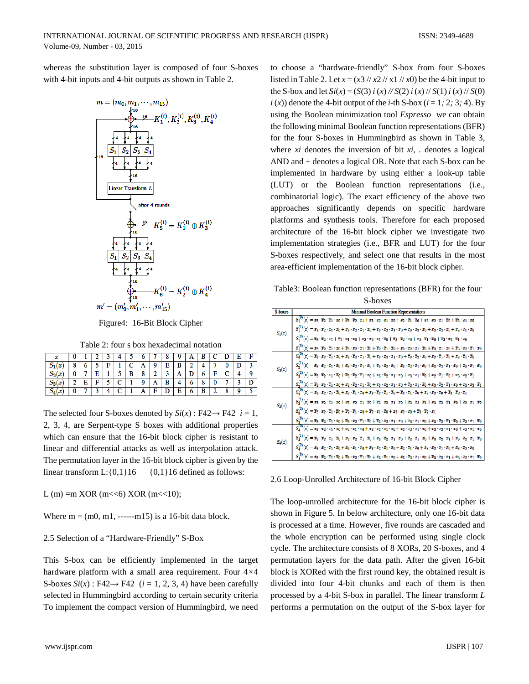whereas the substitution layer is composed of four S-boxes with 4-bit inputs and 4-bit outputs as shown in Table 2.



Figure4: 16-Bit Block Cipher

Table 2: four s box hexadecimal notation

| x                |   |   |   |        |                 | w |        |   | 8 |   | A      | В |                 |          |   |  |
|------------------|---|---|---|--------|-----------------|---|--------|---|---|---|--------|---|-----------------|----------|---|--|
| x<br>P           | ο |   |   | ∽<br>н |                 |   |        | Q | Е | в | ◠<br>∼ |   | .,              | Λ        |   |  |
| $\boldsymbol{x}$ |   |   | п |        |                 | B | ۰<br>٥ | ◠ | n | A | ш      |   | П               |          |   |  |
| a<br>ιx<br>$D_3$ | ◠ | Ε | п | w      | ⌒               |   | o      | A | в | 4 | о      | 8 | n               |          | o |  |
| $S_4(x)$         |   |   | ◠ |        | $\sqrt{2}$<br>◡ |   |        | R |   | Е | 6      | В | $\sqrt{2}$<br>∼ | $\Omega$ | о |  |

The selected four S-boxes denoted by  $Si(x)$ : F42 $\rightarrow$  F42 *i* = 1, 2, 3, 4, are Serpent-type S boxes with additional properties which can ensure that the 16-bit block cipher is resistant to linear and differential attacks as well as interpolation attack. The permutation layer in the 16-bit block cipher is given by the linear transform  $L:\{0,1\}16$  {0,1}16 defined as follows:

L (m) =m XOR (m << 6) XOR (m << 10);

Where  $m = (m0, m1, \dots -m15)$  is a 16-bit data block.

#### 2.5 Selection of a "Hardware-Friendly" S-Box

This S-box can be efficiently implemented in the target hardware platform with a small area requirement. Four 4*×*4 S-boxes  $Si(x)$ : F42 $\rightarrow$  F42 (*i* = 1, 2, 3, 4) have been carefully selected in Hummingbird according to certain security criteria To implement the compact version of Hummingbird, we need

to choose a "hardware-friendly" S-box from four S-boxes listed in Table 2. Let  $x = (x^2 / x^2 / x^2 / x^2)$  be the 4-bit input to the S-box and let  $Si(x) = (S(3) i(x) / (S(2) i(x) / (S(1) i(x) / (S(0)))$  $i(x)$  denote the 4-bit output of the *i*-th S-box ( $i = 1$ *;* 2*;* 3*;* 4). By using the Boolean minimization tool *Espresso* we can obtain the following minimal Boolean function representations (BFR) for the four S-boxes in Hummingbird as shown in Table 3, where *xi* denotes the inversion of bit *xi*, *.* denotes a logical AND and + denotes a logical OR. Note that each S-box can be implemented in hardware by using either a look-up table (LUT) or the Boolean function representations (i.e., combinatorial logic). The exact efficiency of the above two approaches significantly depends on specific hardware platforms and synthesis tools. Therefore for each proposed architecture of the 16-bit block cipher we investigate two implementation strategies (i.e., BFR and LUT) for the four S-boxes respectively, and select one that results in the most area-efficient implementation of the 16-bit block cipher.

Table3: Boolean function representations (BFR) for the four S-boxes

| S-boxes  | <b>Minimal Boolean Function Representations</b>                                                                                                                                                                                                                                                                                                        |
|----------|--------------------------------------------------------------------------------------------------------------------------------------------------------------------------------------------------------------------------------------------------------------------------------------------------------------------------------------------------------|
| $S_1(x)$ | $S_1^{(0)}(x) = x_3 \cdot \overline{x}_2 \cdot \overline{x}_1 \cdot x_0 + \overline{x}_3 \cdot \overline{x}_2 \cdot x_1 + x_3 \cdot x_2 \cdot x_1 \cdot x_0 + x_2 \cdot \overline{x}_1 \cdot \overline{x}_0 + x_3 \cdot x_2 \cdot x_1 \cdot \overline{x}_0 + \overline{x}_3 \cdot x_1 \cdot x_0$                                                       |
|          | $S_1^{(1)}(x)=x_3\cdot\overline{x}_2\cdot\overline{x}_1\cdot x_0+x_3\cdot x_2\cdot x_1\cdot x_0+\overline{x}_3\cdot x_2\cdot x_1\cdot\overline{x}_0+x_3\cdot\overline{x}_2\cdot\overline{x}_0+\overline{x}_3\cdot\overline{x}_2\cdot x_0+x_3\cdot\overline{x}_1\cdot\overline{x}_0$                                                                    |
|          | $S_1^{(2)}(x) = \overline{x}_3 \cdot \overline{x}_2 \cdot x_1 + \overline{x}_2 \cdot x_1 \cdot x_0 + x_3 \cdot x_2 \cdot x_1 \cdot \overline{x}_0 + \overline{x}_3 \cdot \overline{x}_2 \cdot x_0 + x_3 \cdot \overline{x}_1 \cdot \overline{x}_0 + \overline{x}_3 \cdot x_2 \cdot \overline{x}_1 \cdot x_0$                                           |
|          | $S_1^{(3)}(x) = x_3 \cdot \overline{x}_2 \cdot \overline{x}_1 \cdot x_0 + \overline{x}_3 \cdot x_2 \cdot x_1 \cdot \overline{x}_0 + \overline{x}_2 \cdot \overline{x}_1 \cdot \overline{x}_0 + x_3 \cdot x_2 \cdot x_1 \cdot \overline{x}_0 + \overline{x}_3 \cdot x_1 \cdot x_0 + \overline{x}_3 \cdot x_2 \cdot \overline{x}_1 \cdot x_0$            |
| $S_2(x)$ | $S_{2}^{(0)}(x)=\overline{x}_{3}\cdot x_{2}\cdot\overline{x}_{1}\cdot x_{0}+x_{3}\cdot\overline{x}_{2}\cdot x_{1}\cdot\overline{x}_{0}+x_{3}\cdot x_{2}\cdot x_{1}\cdot x_{0}+\overline{x}_{3}\cdot\overline{x}_{2}\cdot x_{0}+x_{2}\cdot\overline{x}_{1}\cdot\overline{x}_{0}+x_{3}\cdot\overline{x}_{1}\cdot\overline{x}_{0}$                        |
|          | $S_2^{(1)}(x) = \overline{x}_3 \cdot \overline{x}_2 \cdot x_1 \cdot \overline{x}_0 + \overline{x}_3 \cdot \overline{x}_2 \cdot \overline{x}_1 \cdot x_0 + \overline{x}_3 \cdot x_2 \cdot x_0 + x_3 \cdot \overline{x}_2 \cdot \overline{x}_1 \cdot x_0 + x_3 \cdot \overline{x}_2 \cdot x_1 \cdot x_0 + x_3 \cdot \overline{x}_1 \cdot \overline{x}_0$ |
|          | $S_2^{(2)}(x)=\overline{x}_3\cdot\overline{x}_2\cdot x_1\cdot\overline{x}_0+\overline{x}_3\cdot\overline{x}_2\cdot\overline{x}_1\cdot x_0+x_3\cdot\overline{x}_2\cdot x_1\cdot x_0+x_3\cdot x_1\cdot\overline{x}_0+x_2\cdot\overline{x}_1\cdot\overline{x}_0+x_3\cdot x_2\cdot\overline{x}_1$                                                          |
|          | $S_2^{(3)}(x) = \overline{x}_3 \cdot x_2 \cdot \overline{x}_1 \cdot x_0 + x_3 \cdot \overline{x}_2 \cdot x_1 \cdot \overline{x}_0 + x_3 \cdot x_2 \cdot x_1 \cdot x_0 + \overline{x}_3 \cdot x_1 \cdot \overline{x}_0 + x_3 \cdot \overline{x}_2 \cdot \overline{x}_1 \cdot x_0 + x_3 \cdot x_2 \cdot \overline{x}_1$                                  |
| $S_3(x)$ | $S_3^{(0)}(x)=x_3\cdot x_2\cdot x_1\cdot \overline{x}_0+x_2\cdot \overline{x}_1\cdot x_0+x_3\cdot \overline{x}_2\cdot \overline{x}_1\cdot \overline{x}_0+\overline{x}_3\cdot x_1\cdot \overline{x}_0+x_3\cdot x_2\cdot x_0+\overline{x}_3\cdot \overline{x}_2\cdot x_1$                                                                                |
|          | $S_3^{(1)}(x)=x_3 \cdot x_2 \cdot \overline{x}_1 \cdot x_0 + x_3 \cdot x_2 \cdot x_1 \cdot \overline{x}_0 + \overline{x}_3 \cdot x_2 \cdot x_1 \cdot x_0 + \overline{x}_3 \cdot \overline{x}_2 \cdot \overline{x}_1 + x_3 \cdot \overline{x}_2 \cdot \overline{x}_1 \cdot \overline{x}_0 + \overline{x}_2 \cdot x_1 \cdot \overline{x}_0$              |
|          | $S_3^{(2)}(x) = \overline{x}_3 \cdot x_2 \cdot \overline{x}_1 \cdot \overline{x}_0 + \overline{x}_2 \cdot \overline{x}_1 \cdot x_0 + \overline{x}_2 \cdot x_1 \cdot \overline{x}_0 + x_3 \cdot x_2 \cdot x_0 + \overline{x}_3 \cdot \overline{x}_2 \cdot x_1$                                                                                          |
|          | $S_3^{(3)}(x) = \overline{x}_3 \cdot \overline{x}_2 \cdot \overline{x}_1 \cdot x_0 + \overline{x}_3 \cdot x_2 \cdot \overline{x}_1 \cdot \overline{x}_0 + \overline{x}_3 \cdot x_2 \cdot x_1 \cdot x_0 + x_3 \cdot x_1 \cdot x_0 + x_3 \cdot \overline{x}_2 \cdot \overline{x}_1 \cdot \overline{x}_0 + \overline{x}_3 \cdot x_1 \cdot \overline{x}_0$ |
| $S_4(x)$ | $S_4^{(0)}(x) = x_3 \cdot \overline{x}_2 \cdot \overline{x}_1 \cdot \overline{x}_0 + x_2 \cdot x_1 \cdot x_0 + \overline{x}_3 \cdot \overline{x}_2 \cdot x_1 \cdot \overline{x}_0 + x_3 \cdot \overline{x}_2 \cdot x_1 \cdot x_0 + x_3 \cdot x_2 \cdot x_1 \cdot \overline{x}_0 + \overline{x}_3 \cdot \overline{x}_1 \cdot x_0$                       |
|          | $S_4^{(1)}(x) = \overline{x}_3 \cdot \overline{x}_2 \cdot x_1 \cdot \overline{x}_0 + x_3 \cdot x_2 \cdot \overline{x}_1 \cdot \overline{x}_0 + x_3 \cdot \overline{x}_2 \cdot x_1 \cdot x_0 + \overline{x}_2 \cdot \overline{x}_1 \cdot x_0 + \overline{x}_3 \cdot x_2 \cdot x_1 + x_3 \cdot \overline{x}_2 \cdot x_1 \cdot \overline{x}_0$            |
|          | $S_4^{(2)}(x)=x_3\cdot\overline{x}_2\cdot\overline{x}_1\cdot\overline{x}_0+x_2\cdot x_1\cdot x_0+\overline{x}_3\cdot x_2\cdot\overline{x}_1\cdot\overline{x}_0+\overline{x}_2\cdot\overline{x}_1\cdot x_0+x_3\cdot\overline{x}_2\cdot x_1\cdot\overline{x}_0+\overline{x}_3\cdot\overline{x}_2\cdot x_0$                                               |
|          | $S_4^{(3)}(x)=x_3\cdot \overline{x}_2\cdot \overline{x}_1\cdot \overline{x}_0+\overline{x}_3\cdot x_2\cdot \overline{x}_1\cdot \overline{x}_0+x_3\cdot \overline{x}_1\cdot x_0+x_3\cdot \overline{x}_2\cdot x_1\cdot x_0+\overline{x}_3\cdot x_2\cdot x_1+x_3\cdot x_2\cdot x_1\cdot \overline{x}_0$                                                   |

2.6 Loop-Unrolled Architecture of 16-bit Block Cipher

The loop-unrolled architecture for the 16-bit block cipher is shown in Figure 5. In below architecture, only one 16-bit data is processed at a time. However, five rounds are cascaded and the whole encryption can be performed using single clock cycle. The architecture consists of 8 XORs, 20 S-boxes, and 4 permutation layers for the data path. After the given 16-bit block is XORed with the first round key, the obtained result is divided into four 4-bit chunks and each of them is then processed by a 4-bit S-box in parallel. The linear transform *L*  performs a permutation on the output of the S-box layer for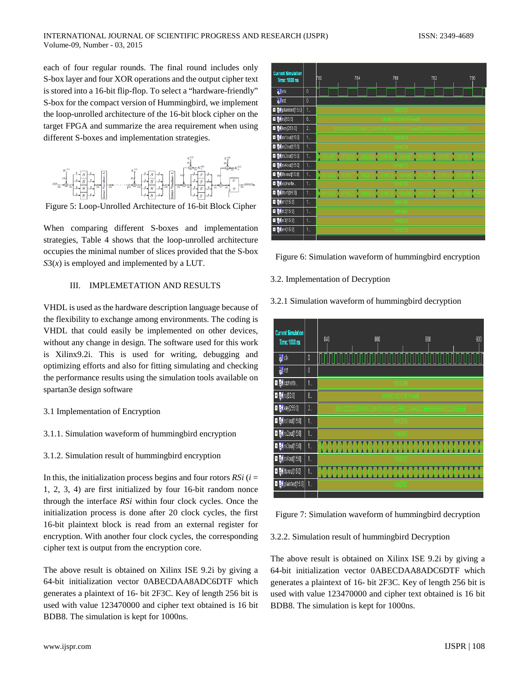each of four regular rounds. The final round includes only S-box layer and four XOR operations and the output cipher text is stored into a 16-bit flip-flop. To select a "hardware-friendly" S-box for the compact version of Hummingbird, we implement the loop-unrolled architecture of the 16-bit block cipher on the target FPGA and summarize the area requirement when using different S-boxes and implementation strategies.



Figure 5: Loop-Unrolled Architecture of 16-bit Block Cipher

When comparing different S-boxes and implementation strategies, Table 4 shows that the loop-unrolled architecture occupies the minimal number of slices provided that the S-box  $S3(x)$  is employed and implemented by a LUT.

# III. IMPLEMETATION AND RESULTS

VHDL is used as the hardware description language because of the flexibility to exchange among environments. The coding is VHDL that could easily be implemented on other devices, without any change in design. The software used for this work is Xilinx9.2i. This is used for writing, debugging and optimizing efforts and also for fitting simulating and checking the performance results using the simulation tools available on spartan3e design software

- 3.1 Implementation of Encryption
- 3.1.1. Simulation waveform of hummingbird encryption
- 3.1.2. Simulation result of hummingbird encryption

In this, the initialization process begins and four rotors  $RSi$  ( $i =$ 1*,* 2, 3, 4) are first initialized by four 16-bit random nonce through the interface *RSi* within four clock cycles. Once the initialization process is done after 20 clock cycles, the first 16-bit plaintext block is read from an external register for encryption. With another four clock cycles, the corresponding cipher text is output from the encryption core.

The above result is obtained on Xilinx ISE 9.2i by giving a 64-bit initialization vector 0ABECDAA8ADC6DTF which generates a plaintext of 16- bit 2F3C. Key of length 256 bit is used with value 123470000 and cipher text obtained is 16 bit BDB8. The simulation is kept for 1000ns.



Figure 6: Simulation waveform of hummingbird encryption

3.2. Implementation of Decryption

3.2.1 Simulation waveform of hummingbird decryption



Figure 7: Simulation waveform of hummingbird decryption

3.2.2. Simulation result of hummingbird Decryption

The above result is obtained on Xilinx ISE 9.2i by giving a 64-bit initialization vector 0ABECDAA8ADC6DTF which generates a plaintext of 16- bit 2F3C. Key of length 256 bit is used with value 123470000 and cipher text obtained is 16 bit BDB8. The simulation is kept for 1000ns.